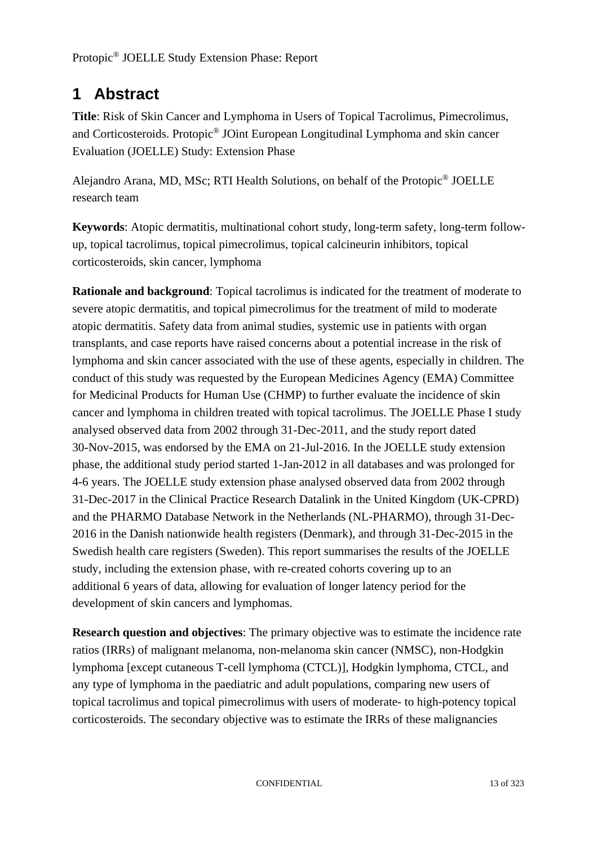# **1 Abstract**

**Title**: Risk of Skin Cancer and Lymphoma in Users of Topical Tacrolimus, Pimecrolimus, and Corticosteroids. Protopic® JOint European Longitudinal Lymphoma and skin cancer Evaluation (JOELLE) Study: Extension Phase

Alejandro Arana, MD, MSc; RTI Health Solutions, on behalf of the Protopic® JOELLE research team

**Keywords**: Atopic dermatitis, multinational cohort study, long-term safety, long-term followup, topical tacrolimus, topical pimecrolimus, topical calcineurin inhibitors, topical corticosteroids, skin cancer, lymphoma

**Rationale and background**: Topical tacrolimus is indicated for the treatment of moderate to severe atopic dermatitis, and topical pimecrolimus for the treatment of mild to moderate atopic dermatitis. Safety data from animal studies, systemic use in patients with organ transplants, and case reports have raised concerns about a potential increase in the risk of lymphoma and skin cancer associated with the use of these agents, especially in children. The conduct of this study was requested by the European Medicines Agency (EMA) Committee for Medicinal Products for Human Use (CHMP) to further evaluate the incidence of skin cancer and lymphoma in children treated with topical tacrolimus. The JOELLE Phase I study analysed observed data from 2002 through 31-Dec-2011, and the study report dated 30-Nov-2015, was endorsed by the EMA on 21-Jul-2016. In the JOELLE study extension phase, the additional study period started 1-Jan-2012 in all databases and was prolonged for 4-6 years. The JOELLE study extension phase analysed observed data from 2002 through 31-Dec-2017 in the Clinical Practice Research Datalink in the United Kingdom (UK-CPRD) and the PHARMO Database Network in the Netherlands (NL-PHARMO), through 31-Dec-2016 in the Danish nationwide health registers (Denmark), and through 31-Dec-2015 in the Swedish health care registers (Sweden). This report summarises the results of the JOELLE study, including the extension phase, with re-created cohorts covering up to an additional 6 years of data, allowing for evaluation of longer latency period for the development of skin cancers and lymphomas.

**Research question and objectives**: The primary objective was to estimate the incidence rate ratios (IRRs) of malignant melanoma, non-melanoma skin cancer (NMSC), non-Hodgkin lymphoma [except cutaneous T-cell lymphoma (CTCL)], Hodgkin lymphoma, CTCL, and any type of lymphoma in the paediatric and adult populations, comparing new users of topical tacrolimus and topical pimecrolimus with users of moderate- to high-potency topical corticosteroids. The secondary objective was to estimate the IRRs of these malignancies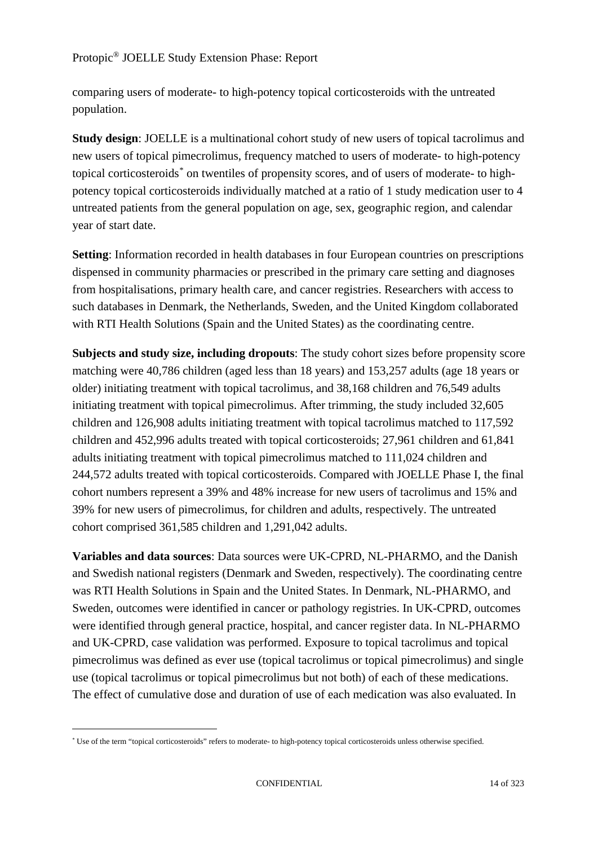comparing users of moderate- to high-potency topical corticosteroids with the untreated population.

**Study design**: JOELLE is a multinational cohort study of new users of topical tacrolimus and new users of topical pimecrolimus, frequency matched to users of moderate- to high-potency topical corticosteroids[\\*](#page-1-0) on twentiles of propensity scores, and of users of moderate- to highpotency topical corticosteroids individually matched at a ratio of 1 study medication user to 4 untreated patients from the general population on age, sex, geographic region, and calendar year of start date.

**Setting**: Information recorded in health databases in four European countries on prescriptions dispensed in community pharmacies or prescribed in the primary care setting and diagnoses from hospitalisations, primary health care, and cancer registries. Researchers with access to such databases in Denmark, the Netherlands, Sweden, and the United Kingdom collaborated with RTI Health Solutions (Spain and the United States) as the coordinating centre.

**Subjects and study size, including dropouts**: The study cohort sizes before propensity score matching were 40,786 children (aged less than 18 years) and 153,257 adults (age 18 years or older) initiating treatment with topical tacrolimus, and 38,168 children and 76,549 adults initiating treatment with topical pimecrolimus. After trimming, the study included 32,605 children and 126,908 adults initiating treatment with topical tacrolimus matched to 117,592 children and 452,996 adults treated with topical corticosteroids; 27,961 children and 61,841 adults initiating treatment with topical pimecrolimus matched to 111,024 children and 244,572 adults treated with topical corticosteroids. Compared with JOELLE Phase I, the final cohort numbers represent a 39% and 48% increase for new users of tacrolimus and 15% and 39% for new users of pimecrolimus, for children and adults, respectively. The untreated cohort comprised 361,585 children and 1,291,042 adults.

**Variables and data sources**: Data sources were UK-CPRD, NL-PHARMO, and the Danish and Swedish national registers (Denmark and Sweden, respectively). The coordinating centre was RTI Health Solutions in Spain and the United States. In Denmark, NL-PHARMO, and Sweden, outcomes were identified in cancer or pathology registries. In UK-CPRD, outcomes were identified through general practice, hospital, and cancer register data. In NL-PHARMO and UK-CPRD, case validation was performed. Exposure to topical tacrolimus and topical pimecrolimus was defined as ever use (topical tacrolimus or topical pimecrolimus) and single use (topical tacrolimus or topical pimecrolimus but not both) of each of these medications. The effect of cumulative dose and duration of use of each medication was also evaluated. In

<span id="page-1-0"></span><sup>\*</sup> Use of the term "topical corticosteroids" refers to moderate- to high-potency topical corticosteroids unless otherwise specified.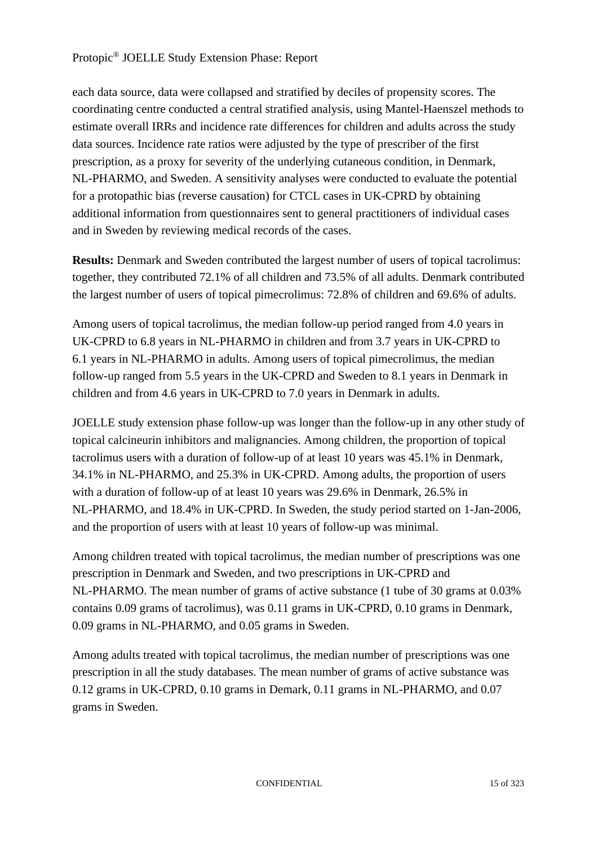## Protopic® JOELLE Study Extension Phase: Report

each data source, data were collapsed and stratified by deciles of propensity scores. The coordinating centre conducted a central stratified analysis, using Mantel-Haenszel methods to estimate overall IRRs and incidence rate differences for children and adults across the study data sources. Incidence rate ratios were adjusted by the type of prescriber of the first prescription, as a proxy for severity of the underlying cutaneous condition, in Denmark, NL-PHARMO, and Sweden. A sensitivity analyses were conducted to evaluate the potential for a protopathic bias (reverse causation) for CTCL cases in UK-CPRD by obtaining additional information from questionnaires sent to general practitioners of individual cases and in Sweden by reviewing medical records of the cases.

**Results:** Denmark and Sweden contributed the largest number of users of topical tacrolimus: together, they contributed 72.1% of all children and 73.5% of all adults. Denmark contributed the largest number of users of topical pimecrolimus: 72.8% of children and 69.6% of adults.

Among users of topical tacrolimus, the median follow-up period ranged from 4.0 years in UK-CPRD to 6.8 years in NL-PHARMO in children and from 3.7 years in UK-CPRD to 6.1 years in NL-PHARMO in adults. Among users of topical pimecrolimus, the median follow-up ranged from 5.5 years in the UK-CPRD and Sweden to 8.1 years in Denmark in children and from 4.6 years in UK-CPRD to 7.0 years in Denmark in adults.

JOELLE study extension phase follow-up was longer than the follow-up in any other study of topical calcineurin inhibitors and malignancies. Among children, the proportion of topical tacrolimus users with a duration of follow-up of at least 10 years was 45.1% in Denmark, 34.1% in NL-PHARMO, and 25.3% in UK-CPRD. Among adults, the proportion of users with a duration of follow-up of at least 10 years was 29.6% in Denmark, 26.5% in NL-PHARMO, and 18.4% in UK-CPRD. In Sweden, the study period started on 1-Jan-2006, and the proportion of users with at least 10 years of follow-up was minimal.

Among children treated with topical tacrolimus, the median number of prescriptions was one prescription in Denmark and Sweden, and two prescriptions in UK-CPRD and NL-PHARMO. The mean number of grams of active substance (1 tube of 30 grams at 0.03% contains 0.09 grams of tacrolimus), was 0.11 grams in UK-CPRD, 0.10 grams in Denmark, 0.09 grams in NL-PHARMO, and 0.05 grams in Sweden.

Among adults treated with topical tacrolimus, the median number of prescriptions was one prescription in all the study databases. The mean number of grams of active substance was 0.12 grams in UK-CPRD, 0.10 grams in Demark, 0.11 grams in NL-PHARMO, and 0.07 grams in Sweden.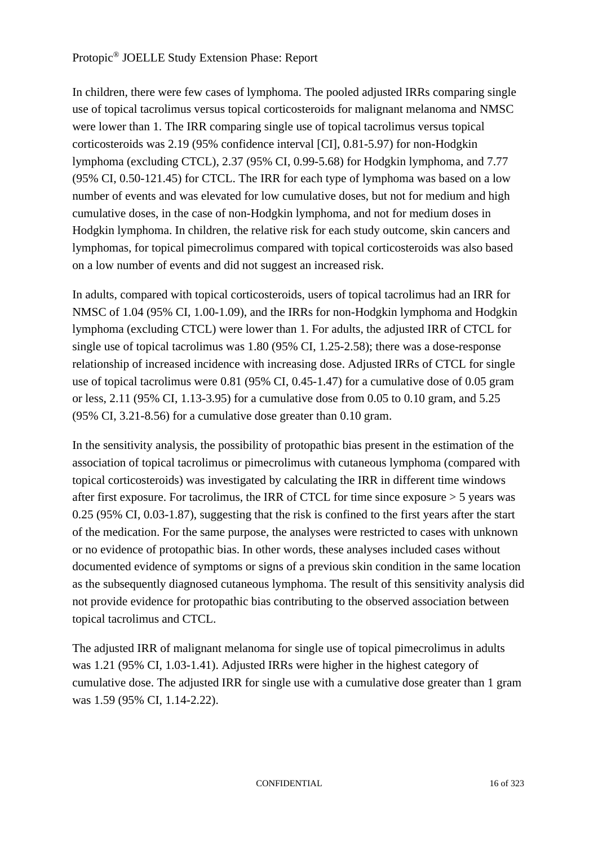## Protopic® JOELLE Study Extension Phase: Report

In children, there were few cases of lymphoma. The pooled adjusted IRRs comparing single use of topical tacrolimus versus topical corticosteroids for malignant melanoma and NMSC were lower than 1. The IRR comparing single use of topical tacrolimus versus topical corticosteroids was 2.19 (95% confidence interval [CI], 0.81-5.97) for non-Hodgkin lymphoma (excluding CTCL), 2.37 (95% CI, 0.99-5.68) for Hodgkin lymphoma, and 7.77 (95% CI, 0.50-121.45) for CTCL. The IRR for each type of lymphoma was based on a low number of events and was elevated for low cumulative doses, but not for medium and high cumulative doses, in the case of non-Hodgkin lymphoma, and not for medium doses in Hodgkin lymphoma. In children, the relative risk for each study outcome, skin cancers and lymphomas, for topical pimecrolimus compared with topical corticosteroids was also based on a low number of events and did not suggest an increased risk.

In adults, compared with topical corticosteroids, users of topical tacrolimus had an IRR for NMSC of 1.04 (95% CI, 1.00-1.09), and the IRRs for non-Hodgkin lymphoma and Hodgkin lymphoma (excluding CTCL) were lower than 1. For adults, the adjusted IRR of CTCL for single use of topical tacrolimus was 1.80 (95% CI, 1.25-2.58); there was a dose-response relationship of increased incidence with increasing dose. Adjusted IRRs of CTCL for single use of topical tacrolimus were 0.81 (95% CI, 0.45-1.47) for a cumulative dose of 0.05 gram or less, 2.11 (95% CI, 1.13-3.95) for a cumulative dose from 0.05 to 0.10 gram, and 5.25 (95% CI, 3.21-8.56) for a cumulative dose greater than 0.10 gram.

In the sensitivity analysis, the possibility of protopathic bias present in the estimation of the association of topical tacrolimus or pimecrolimus with cutaneous lymphoma (compared with topical corticosteroids) was investigated by calculating the IRR in different time windows after first exposure. For tacrolimus, the IRR of CTCL for time since exposure > 5 years was 0.25 (95% CI, 0.03-1.87), suggesting that the risk is confined to the first years after the start of the medication. For the same purpose, the analyses were restricted to cases with unknown or no evidence of protopathic bias. In other words, these analyses included cases without documented evidence of symptoms or signs of a previous skin condition in the same location as the subsequently diagnosed cutaneous lymphoma. The result of this sensitivity analysis did not provide evidence for protopathic bias contributing to the observed association between topical tacrolimus and CTCL.

The adjusted IRR of malignant melanoma for single use of topical pimecrolimus in adults was 1.21 (95% CI, 1.03-1.41). Adjusted IRRs were higher in the highest category of cumulative dose. The adjusted IRR for single use with a cumulative dose greater than 1 gram was 1.59 (95% CI, 1.14-2.22).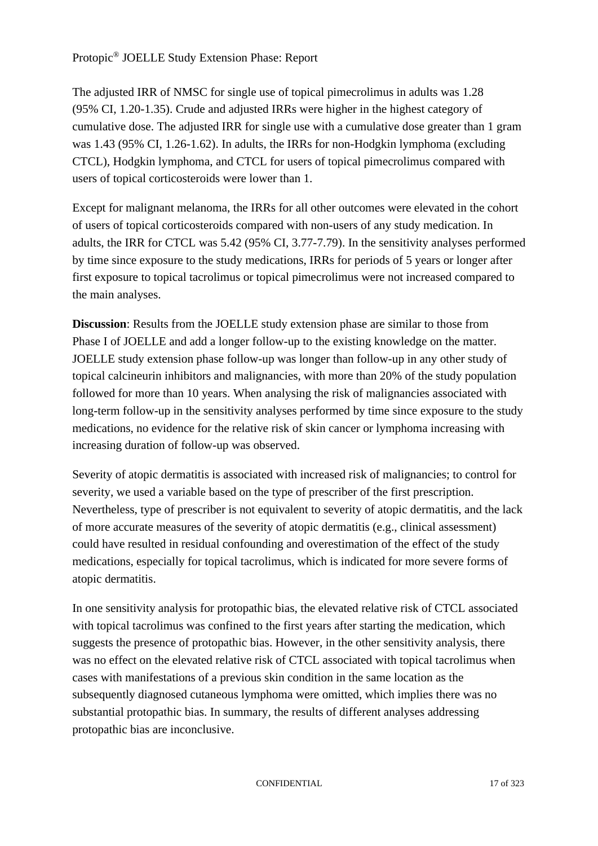## Protopic® JOELLE Study Extension Phase: Report

The adjusted IRR of NMSC for single use of topical pimecrolimus in adults was 1.28 (95% CI, 1.20-1.35). Crude and adjusted IRRs were higher in the highest category of cumulative dose. The adjusted IRR for single use with a cumulative dose greater than 1 gram was 1.43 (95% CI, 1.26-1.62). In adults, the IRRs for non-Hodgkin lymphoma (excluding CTCL), Hodgkin lymphoma, and CTCL for users of topical pimecrolimus compared with users of topical corticosteroids were lower than 1.

Except for malignant melanoma, the IRRs for all other outcomes were elevated in the cohort of users of topical corticosteroids compared with non-users of any study medication. In adults, the IRR for CTCL was 5.42 (95% CI, 3.77-7.79). In the sensitivity analyses performed by time since exposure to the study medications, IRRs for periods of 5 years or longer after first exposure to topical tacrolimus or topical pimecrolimus were not increased compared to the main analyses.

**Discussion**: Results from the JOELLE study extension phase are similar to those from Phase I of JOELLE and add a longer follow-up to the existing knowledge on the matter. JOELLE study extension phase follow-up was longer than follow-up in any other study of topical calcineurin inhibitors and malignancies, with more than 20% of the study population followed for more than 10 years. When analysing the risk of malignancies associated with long-term follow-up in the sensitivity analyses performed by time since exposure to the study medications, no evidence for the relative risk of skin cancer or lymphoma increasing with increasing duration of follow-up was observed.

Severity of atopic dermatitis is associated with increased risk of malignancies; to control for severity, we used a variable based on the type of prescriber of the first prescription. Nevertheless, type of prescriber is not equivalent to severity of atopic dermatitis, and the lack of more accurate measures of the severity of atopic dermatitis (e.g., clinical assessment) could have resulted in residual confounding and overestimation of the effect of the study medications, especially for topical tacrolimus, which is indicated for more severe forms of atopic dermatitis.

In one sensitivity analysis for protopathic bias, the elevated relative risk of CTCL associated with topical tacrolimus was confined to the first years after starting the medication, which suggests the presence of protopathic bias. However, in the other sensitivity analysis, there was no effect on the elevated relative risk of CTCL associated with topical tacrolimus when cases with manifestations of a previous skin condition in the same location as the subsequently diagnosed cutaneous lymphoma were omitted, which implies there was no substantial protopathic bias. In summary, the results of different analyses addressing protopathic bias are inconclusive.